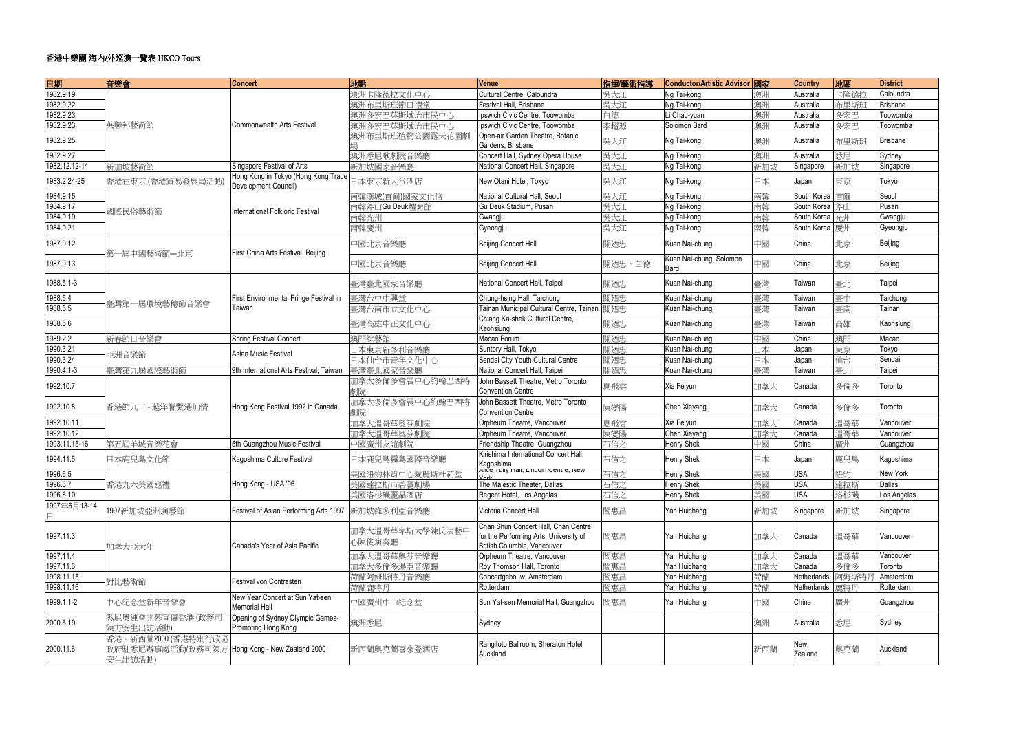| 日期                | 音樂會                                                                             | <b>Concert</b>                                              | 地點                        | <b>Venue</b>                                                                                                 | 指揮麼術指導 | Conductor/Artistic Advisor 國家   |     | <b>Country</b> | 地區   | <b>District</b> |
|-------------------|---------------------------------------------------------------------------------|-------------------------------------------------------------|---------------------------|--------------------------------------------------------------------------------------------------------------|--------|---------------------------------|-----|----------------|------|-----------------|
| 1982.9.19         |                                                                                 |                                                             | 澳洲卡隆德拉文化中心                | Cultural Centre, Caloundra                                                                                   | 吳大江    | Ng Tai-kong                     | 澳洲  | Australia      | 卡隆德拉 | Caloundra       |
| 1982.9.22         |                                                                                 |                                                             | 澳洲布里斯班節日禮堂                | Festival Hall, Brisbane                                                                                      | 吳大江    | Ng Tai-kong                     | 澳洲  | Australia      | 布里斯班 | <b>Brisbane</b> |
| 1982.9.23         |                                                                                 |                                                             | 澳洲多宏巴葉斯域治市民中心             | Ipswich Civic Centre, Toowomba                                                                               | 白德     | Li Chau-yuan                    | 澳洲  | Australia      | 多宏巴  | Toowomba        |
| 1982.9.23         | 英聯邦藝術節                                                                          | <b>Commonwealth Arts Festival</b>                           | 澳洲多宏巴葉斯域治市民中心             | Ipswich Civic Centre, Toowomba                                                                               | 李超源    | Solomon Bard                    | 澳洲  | Australia      | 多宏巴  | Toowomba        |
| 1982.9.25         |                                                                                 |                                                             | 澳洲布里斯班植物公園露天花園劇           | Open-air Garden Theatre, Botanic<br>Gardens, Brisbane                                                        | 吳大江    | Ng Tai-kong                     | 澳洲  | Australia      | 布里斯班 | <b>Brisbane</b> |
| 1982.9.27         |                                                                                 |                                                             | 澳洲悉尼歌劇院音樂廳                | Concert Hall, Sydney Opera House                                                                             | 吳大江    | Ng Tai-kong                     | 澳洲  | Australia      | 悉尼   | Sydney          |
| 1982.12.12-14     | 新加坡藝術節                                                                          | Singapore Festival of Arts                                  | 新加坡國家音樂廳                  | National Concert Hall, Singapore                                                                             | 吳大江    | Ng Tai-kong                     | 新加坡 | Singapore      | 新加坡  | Singapore       |
| 1983.2.24-25      | 香港在東京(香港貿易發展局活動)                                                                | Hong Kong in Tokyo (Hong Kong Trade<br>Development Council) | 日本東京新大谷酒店                 | New Otani Hotel, Tokyo                                                                                       | 吳大江    | Ng Tai-kong                     | 日本  | Japan          | 東京   | Tokyo           |
| 1984.9.15         |                                                                                 |                                                             | 南韓漢城(首爾)國家文化倌             | National Cultural Hall, Seoul                                                                                | 吳大江    | Ng Tai-kong                     | 南韓  | South Korea    | 首爾   | Seoul           |
| 1984.9.17         |                                                                                 | <b>International Folkloric Festival</b>                     | 南韓斧山Gu Deuk體育館            | Gu Deuk Stadium, Pusan                                                                                       | 吳大江    | Ng Tai-kong                     | 南韓  | South Korea    | 斧山   | Pusan           |
| 1984.9.19         | 國際民俗藝術節                                                                         |                                                             | 南韓光州                      | Gwangju                                                                                                      | 吳大江    | Ng Tai-kong                     | 南韓  | South Korea    | 光州   | Gwangju         |
| 1984.9.21         |                                                                                 |                                                             | 南韓慶州                      | Gyeongju                                                                                                     | 吳大江    | Ng Tai-kong                     | 南韓  | South Korea    | 慶州   | Gyeongju        |
| 1987.9.12         | 第一屆中國藝術節一北京                                                                     | First China Arts Festival, Beijing                          | 中國北京音樂廳                   | <b>Beijing Concert Hall</b>                                                                                  | 關廼忠    | Kuan Nai-chung                  | 中國  | China          | 北京   | Beijing         |
| 1987.9.13         |                                                                                 |                                                             | 中國北京音樂廳                   | <b>Beijing Concert Hall</b>                                                                                  | 關廼忠、白德 | Kuan Nai-chung, Solomon<br>Bard | 中國  | China          | 北京   | Beijing         |
| 1988.5.1-3        |                                                                                 |                                                             | 臺灣臺北國家音樂廳                 | National Concert Hall, Taipei                                                                                | 關廼忠    | Kuan Nai-chung                  | 臺灣  | Taiwan         | 臺北   | Taipei          |
| 1988.5.4          | 臺灣第一屆環境藝穗節音樂會                                                                   | First Environmental Fringe Festival in                      | 臺灣台中中興堂                   | Chung-hsing Hall, Taichung                                                                                   | 關廼忠    | Kuan Nai-chung                  | 臺灣  | Taiwan         | 臺中   | Taichung        |
| 1988.5.5          |                                                                                 | Taiwan                                                      | 臺灣台南市立文化中心                | Tainan Municipal Cultural Centre, Tainan                                                                     | 關廼忠    | Kuan Nai-chung                  | 臺灣  | Taiwan         | 臺南   | Tainan          |
| 1988.5.6          |                                                                                 |                                                             | 臺灣高雄中正文化中心                | Chiang Ka-shek Cultural Centre,<br>Kaohsiung                                                                 | 關廼忠    | Kuan Nai-chung                  | 臺灣  | Taiwan         | 高雄   | Kaohsiung       |
| 1989.2.2          | 新春節日音樂會                                                                         | Spring Festival Concert                                     | 澳門綜藝館                     | Macao Forum                                                                                                  | 關廼忠    | Kuan Nai-chung                  | 中國  | China          | 澳門   | Macao           |
| 1990.3.21         | 亞洲音樂節                                                                           | Asian Music Festival                                        | 日本東京新多利音樂廳                | Suntory Hall, Tokyo                                                                                          | 關廼忠    | Kuan Nai-chung                  | 日本  | Japan          | 東京   | Tokyo           |
| 1990.3.24         |                                                                                 |                                                             | 日本仙台市青年文化中心               | Sendai City Youth Cultural Centre                                                                            | 關廼忠    | Kuan Nai-chung                  | 日本  | Japan          | 仙台   | Sendai          |
| 1990.4.1-3        | 臺灣第九屆國際藝術節                                                                      | 9th International Arts Festival, Taiwan                     | 臺灣臺北國家音樂廳                 | National Concert Hall, Taipei                                                                                | 關廼忠    | Kuan Nai-chung                  | 臺灣  | Taiwan         | 臺北   | Taipei          |
| 1992.10.7         |                                                                                 | Hong Kong Festival 1992 in Canada                           | 加拿大多倫多會展中心約翰巴西特           | John Bassett Theatre, Metro Toronto<br><b>Convention Centre</b>                                              | 夏飛雲    | Xia Feiyun                      | 加拿大 | Canada         | 多倫多  | Toronto         |
| 1992.10.8         | 香港節九二 - 越洋聯繫港加情                                                                 |                                                             | 加拿大多倫多會展中心約翰巴西特           | John Bassett Theatre, Metro Toronto<br><b>Convention Centre</b>                                              | 陳燮陽    | Chen Xieyang                    | 加拿大 | Canada         | 多倫多  | Toronto         |
| 1992.10.11        |                                                                                 |                                                             | 加拿大溫哥華奧芬劇院                | Orpheum Theatre, Vancouver                                                                                   | 夏飛雲    | Xia Feiyun                      | 加拿大 | Canada         | 溫哥華  | Vancouver       |
| 1992.10.12        |                                                                                 |                                                             | 加拿大溫哥華奧芬劇院                | Orpheum Theatre, Vancouver                                                                                   | 陳燮陽    | Chen Xieyang                    | 加拿大 | Canada         | 溫哥華  | Vancouver       |
| 1993.11.15-16     | 第五屆羊城音樂花會                                                                       | 5th Guangzhou Music Festival                                | 中國廣州友誼劇院                  | Friendship Theatre, Guangzhou                                                                                | 石信之    | <b>Henry Shek</b>               | 中國  | China          | 廣州   | Guangzhou       |
| 1994.11.5         | 日本鹿兒島文化節                                                                        | Kagoshima Culture Festival                                  | 日本鹿兒島霧島國際音樂廳              | Kirishima International Concert Hall,<br>Kagoshima                                                           | 石信之    | <b>Henry Shek</b>               | 日本  | Japan          | 鹿兒島  | Kagoshima       |
| 1996.6.5          |                                                                                 |                                                             | 美國紐約林肯中心愛麗斯杜莉堂            | Alice Tully Hall, Lincoln Centre, New                                                                        | 石信之    | Henry Shek                      | 美國  | <b>USA</b>     | 紐約   | New York        |
| 1996.6.7          | 香港九六美國巡禮                                                                        | Hong Kong - USA '96                                         | 美國達拉斯市碧麗劇場                | The Majestic Theater, Dallas                                                                                 | 石信之    | Henry Shek                      | 美國  | <b>USA</b>     | 達拉斯  | Dallas          |
| 1996.6.10         |                                                                                 |                                                             | 美國洛杉磯麗晶酒店                 | Regent Hotel, Los Angelas                                                                                    | 石信之    | <b>Henry Shek</b>               | 美國  | <b>USA</b>     | 洛杉磯  | Los Angelas     |
| 1997年6月13-14<br>日 | 1997新加坡亞洲演藝節                                                                    | Festival of Asian Performing Arts 1997                      | 新加坡維多利亞音樂廳                | Victoria Concert Hall                                                                                        | 閻惠昌    | Yan Huichang                    | 新加坡 | Singapore      | 新加坡  | Singapore       |
| 1997.11.3         | 加拿大亞太年                                                                          | Canada's Year of Asia Pacific                               | 加拿大溫哥華卑斯大學陳氏演藝中<br>心陳俊演奏廳 | Chan Shun Concert Hall, Chan Centre<br>for the Performing Arts, University of<br>British Columbia, Vancouver | 閻惠昌    | Yan Huichang                    | 加拿大 | Canada         | 溫哥華  | Vancouver       |
| 1997.11.4         |                                                                                 |                                                             | 加拿大溫哥華奧芬音樂廳               | Orpheum Theatre, Vancouver                                                                                   | 閻惠昌    | Yan Huichang                    | 加拿大 | Canada         | 溫哥華  | Vancouver       |
| 1997.11.6         |                                                                                 |                                                             | 加拿大多倫多湯臣音樂廳               | Roy Thomson Hall, Toronto                                                                                    | 閻惠昌    | Yan Huichang                    | 加拿大 | Canada         | 多倫多  | Toronto         |
| 1998.11.15        | 對比藝術節                                                                           | Festival von Contrasten                                     | 荷蘭阿姆斯特丹音樂廳                | Concertgebouw, Amsterdam                                                                                     | 閻惠昌    | Yan Huichang                    | 荷蘭  | Netherlands    | 阿姆斯特 | Amsterdam       |
| 1998.11.16        |                                                                                 |                                                             | 荷蘭鹿特丹                     | Rotterdam                                                                                                    | 閻惠昌    | Yan Huichang                    | 荷蘭  | Netherlands    | 鹿特丹  | Rotterdam       |
| 1999.1.1-2        | 中心紀念堂新年音樂會                                                                      | New Year Concert at Sun Yat-sen<br><b>Memorial Hall</b>     | 中國廣州中山紀念堂                 | Sun Yat-sen Memorial Hall, Guangzhou                                                                         | 閻惠昌    | Yan Huichang                    | 中國  | China          | 廣州   | Guangzhou       |
| 2000.6.19         | 悉尼奧運會開幕宣傳香港(政務司<br>陳方安生出訪活動)                                                    | Opening of Sydney Olympic Games-<br>Promoting Hong Kong     | 澳洲悉尼                      | Sydney                                                                                                       |        |                                 | 澳洲  | Australia      | 悉尼   | Sydney          |
| 2000.11.6         | 香港。新西蘭2000 (香港特別行政區<br>政府駐悉尼辦事處活動/政務司陳方 Hong Kong - New Zealand 2000<br>安生出訪活動) |                                                             | 新西蘭奧克蘭喜來登酒店               | Rangitoto Ballroom, Sheraton Hotel.<br>Auckland                                                              |        |                                 | 新西蘭 | New<br>Zealand | 奧克蘭  | Auckland        |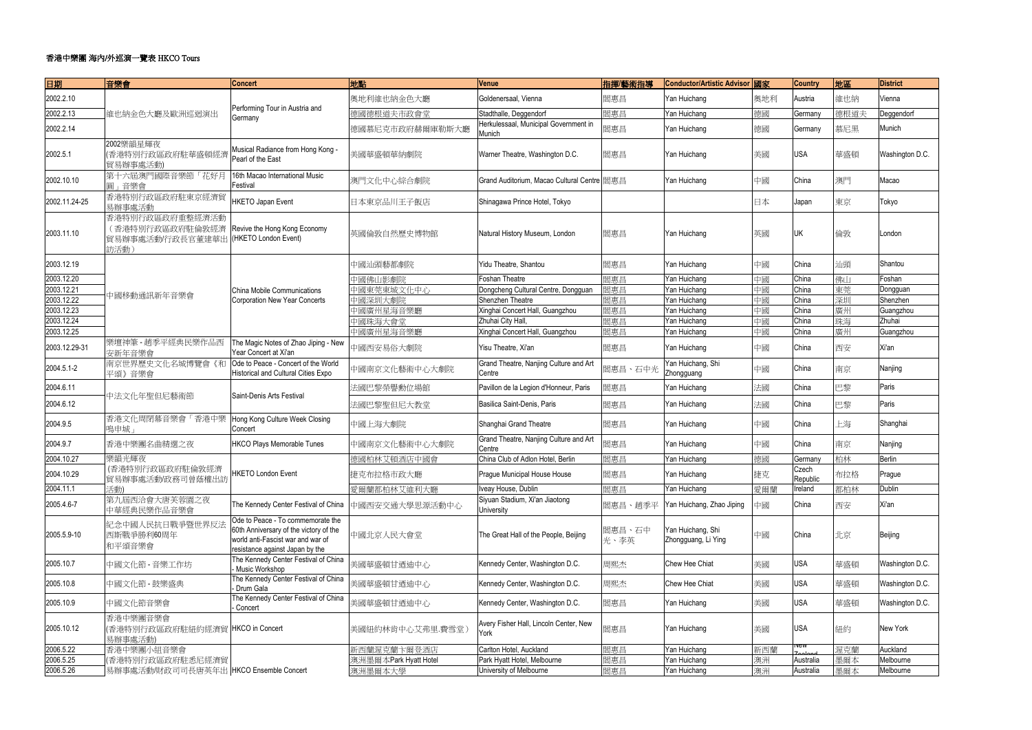| 日期            | 音樂會                                                            | <b>Concert</b>                                                                                                                                      | 地點                    | Venue                                            | 指揮麼術指導         | Conductor/Artistic Advisor 國家            |     | <b>Country</b>    | 地區   | <b>District</b> |
|---------------|----------------------------------------------------------------|-----------------------------------------------------------------------------------------------------------------------------------------------------|-----------------------|--------------------------------------------------|----------------|------------------------------------------|-----|-------------------|------|-----------------|
| 2002.2.10     |                                                                | Performing Tour in Austria and                                                                                                                      | 奧地利維也納金色大廳            | Goldenersaal, Vienna                             | 閻惠昌            | Yan Huichang                             | 奧地利 | Austria           | 維也納  | Vienna          |
| 2002.2.13     | 維也納金色大廳及歐洲巡迴演出                                                 | Germany                                                                                                                                             | 德國德根道夫市政會堂            | Stadthalle, Deggendorf                           | 閻惠昌            | Yan Huichang                             | 德國  | Germany           | 德根道夫 | Deggendorf      |
| 2002.2.14     |                                                                |                                                                                                                                                     | 德國慕尼克市政府赫爾庫勒斯大廳       | Herkulessaal, Municipal Government in<br>Munich  | 閻惠昌            | Yan Huichang                             | 德國  | Germany           | 慕尼黑  | Munich          |
| 2002.5.1      | 2002樂韻星輝夜<br>(香港特別行政區政府駐華盛頓經濟<br>貿易辦事處活動                       | Musical Radiance from Hong Kong -<br>Pearl of the East                                                                                              | 美國華盛頓華納劇院             | Warner Theatre, Washington D.C.                  | 閻惠昌            | Yan Huichang                             | 美國  | <b>USA</b>        | 華盛頓  | Washington D.C. |
| 2002.10.10    | 第十六屆澳門國際音樂節「花好月<br>圓」音樂會                                       | 16th Macao International Music<br>Festival                                                                                                          | 澳門文化中心綜合劇院            | Grand Auditorium, Macao Cultural Centre   閻惠昌    |                | Yan Huichang                             | 中國  | China             | 澳門   | Macao           |
| 2002.11.24-25 | 香港特別行政區政府駐東京經濟貿<br>易辦事處活動                                      | HKETO Japan Event                                                                                                                                   | 日本東京品川王子飯店            | Shinagawa Prince Hotel, Tokyo                    |                |                                          | 日本  | Japan             | 東京   | Tokyo           |
| 2003.11.10    | 香港特別行政區政府重整經濟活動<br>(香港特別行政區政府駐倫敦經濟<br>貿易辦事處活動/行政長官董建華出<br>訪活動) | Revive the Hong Kong Economy<br>(HKETO London Event)                                                                                                | 英國倫敦自然歷史博物館           | Natural History Museum, London                   | 閻惠昌            | Yan Huichang                             | 英國  | UK                | 倫敦   | London          |
| 2003.12.19    |                                                                |                                                                                                                                                     | 中國汕頭藝都劇院              | Yidu Theatre, Shantou                            | 閻惠昌            | Yan Huichang                             | 中國  | China             | 汕頭   | Shantou         |
| 2003.12.20    |                                                                |                                                                                                                                                     | 中國佛山影劇院               | Foshan Theatre                                   | 閻惠昌            | Yan Huichang                             | 中國  | China             | 佛山   | Foshan          |
| 2003.12.21    | 中國移動通訊新年音樂會                                                    | China Mobile Communications                                                                                                                         | 中國東莞東城文化中心            | Dongcheng Cultural Centre, Dongguan              | 閻惠昌            | Yan Huichang                             | 中國  | China             | 東莞   | Dongguan        |
| 2003.12.22    |                                                                | <b>Corporation New Year Concerts</b>                                                                                                                | 中國深圳大劇院               | Shenzhen Theatre                                 | 閻惠昌            | Yan Huichang                             | 中國  | China             | 深圳   | Shenzhen        |
| 2003.12.23    |                                                                |                                                                                                                                                     | 中國廣州星海音樂廳             | Xinghai Concert Hall, Guangzhou                  | 閻惠昌            | Yan Huichang                             | 中國  | China             | 廣州   | Guangzhou       |
| 2003.12.24    |                                                                |                                                                                                                                                     | 中國珠海大會堂               | Zhuhai City Hall,                                | 閻惠昌            | Yan Huichang                             | 中國  | China             | 珠海   | Zhuhai          |
| 2003.12.25    |                                                                |                                                                                                                                                     | 中國廣州星海音樂廳             | Xinghai Concert Hall, Guangzhou                  | 閻惠昌            | Yan Huichang                             | 中國  | China             | 廣州   | Guangzhou       |
| 2003.12.29-31 | 樂壇神筆 - 趙季平經典民樂作品西<br>安新年音樂會                                    | The Magic Notes of Zhao Jiping - New<br>Year Concert at Xi'an                                                                                       | 中國西安易俗大劇院             | Yisu Theatre, Xi'an                              | 閻惠昌            | Yan Huichang                             | 中國  | China             | 西安   | Xi'an           |
| 2004.5.1-2    | 南京世界歷史文化名城博覽會《和<br>平頌》音樂會                                      | Ode to Peace - Concert of the World<br>Historical and Cultural Cities Expo                                                                          | 中國南京文化藝術中心大劇院         | Grand Theatre, Nanjing Culture and Art<br>Centre | 閻惠昌、石中光        | Yan Huichang, Shi<br>Zhongguang          | 中國  | China             | 南京   | Nanjing         |
| 2004.6.11     |                                                                | Saint-Denis Arts Festival                                                                                                                           | 法國巴黎榮譽勳位場館            | Pavillon de la Legion d'Honneur, Paris           | 閻惠昌            | Yan Huichang                             | 法國  | China             | 巴黎   | Paris           |
| 2004.6.12     | 中法文化年聖但尼藝術節                                                    |                                                                                                                                                     | 法國巴黎聖但尼大教堂            | Basilica Saint-Denis, Paris                      | 閻惠昌            | Yan Huichang                             | 法國  | China             | 巴黎   | Paris           |
| 2004.9.5      | 香港文化周閉幕音樂會「香港中樂<br>鳴申城                                         | Hong Kong Culture Week Closing<br>Concert                                                                                                           | 中國上海大劇院               | Shanghai Grand Theatre                           | 閻惠昌            | Yan Huichang                             | 中國  | China             | 上海   | Shanghai        |
| 2004.9.7      | 香港中樂團名曲精選之夜                                                    | <b>HKCO Plays Memorable Tunes</b>                                                                                                                   | 中國南京文化藝術中心大劇院         | Grand Theatre, Nanjing Culture and Art<br>Centre | 閻惠昌            | Yan Huichang                             | 中國  | China             | 南京   | Nanjing         |
| 2004.10.27    | 樂韻光輝夜                                                          |                                                                                                                                                     | 德國柏林艾頓酒店中國會           | China Club of Adlon Hotel, Berlin                | 閻惠昌            | Yan Huichang                             | 德國  | Germany           | 柏林   | Berlin          |
| 2004.10.29    | (香港特別行政區政府駐倫敦經濟<br>貿易辦事處活動/政務司曾蔭權出訪                            | HKETO London Event                                                                                                                                  | 捷克布拉格市政大廳             | Prague Municipal House House                     | 閻惠昌            | Yan Huichang                             | 捷克  | Czech<br>Republic | 布拉格  | Prague          |
| 2004.11.1     | 活動)                                                            |                                                                                                                                                     | 愛爾蘭都柏林艾維利大廳           | Iveay House, Dublin                              | 閻惠昌            | Yan Huichang                             | 愛爾蘭 | Ireland           | 都柏林  | Dublin          |
| 2005.4.6-7    | 第九屆西洽會大唐芙蓉園之夜<br>中華經典民樂作品音樂會                                   | The Kennedy Center Festival of China                                                                                                                | 中國西安交通大學思源活動中心        | Siyuan Stadium, Xi'an Jiaotong<br>University     | 閻惠昌、趙季平        | Yan Huichang, Zhao Jiping                | 中國  | China             | 西安   | Xi'an           |
| 2005.5.9-10   | 紀念中國人民抗日戰爭暨世界反法<br>西斯戰爭勝利60周年<br>和平頌音樂會                        | Ode to Peace - To commemorate the<br>60th Anniversary of the victory of the<br>world anti-Fascist war and war of<br>resistance against Japan by the | 中國北京人民大會堂             | The Great Hall of the People, Beijing            | 閻惠昌、石中<br>光、李英 | Yan Huichang, Shi<br>Zhongguang, Li Ying | 中國  | China             | 北京   | Beijing         |
| 2005.10.7     | 中國文化節 - 音樂工作坊                                                  | The Kennedy Center Festival of China<br>Music Workshop                                                                                              | 美國華盛頓甘迺迪中心            | Kennedy Center, Washington D.C.                  | 周熙杰            | Chew Hee Chiat                           | 美國  | <b>USA</b>        | 華盛頓  | Washington D.C. |
| 2005.10.8     | 中國文化節 - 鼓樂盛典                                                   | The Kennedy Center Festival of China<br>- Drum Gala                                                                                                 | 美國華盛頓甘迺迪中心            | Kennedy Center, Washington D.C.                  | 周熙杰            | Chew Hee Chiat                           | 美國  | <b>USA</b>        | 華盛頓  | Washington D.C. |
| 2005.10.9     | 中國文化節音樂會                                                       | The Kennedy Center Festival of China<br>Concert                                                                                                     | 美國華盛頓甘迺迪中心            | Kennedy Center, Washington D.C.                  | 閻惠昌            | Yan Huichang                             | 美國  | <b>USA</b>        | 華盛頓  | Washington D.C. |
| 2005.10.12    | 香港中樂團音樂會<br>(香港特別行政區政府駐紐約經濟貿  HKCO in Concert<br>易辦事處活動)       |                                                                                                                                                     | 美國紐約林肯中心艾弗里.費雪堂       | Avery Fisher Hall, Lincoln Center, New<br>York   | 閻惠昌            | Yan Huichang                             | 美國  | <b>USA</b>        | 紐約   | New York        |
| 2006.5.22     | 香港中樂團小組音樂會                                                     |                                                                                                                                                     | 新西蘭渥克蘭卞爾登酒店           | Carlton Hotel, Auckland                          | 閻惠昌            | Yan Huichang                             | 新西蘭 | vew               | 渥克蘭  | Auckland        |
| 2006.5.25     | (香港特別行政區政府駐悉尼經濟貿                                               |                                                                                                                                                     | 澳洲墨爾本Park Hyatt Hotel | Park Hyatt Hotel, Melbourne                      | 閻惠昌            | Yan Huichang                             | 澳洲  | Australia         | 墨爾本  | Melbourne       |
| 2006.5.26     | 易辦事處活動/財政司司長唐英年出 HKCO Ensemble Concert                         |                                                                                                                                                     | 澳洲墨爾本大學               | University of Melbourne                          | 閻惠昌            | Yan Huichang                             | 澳洲  | Australia         | 墨爾本  | Melbourne       |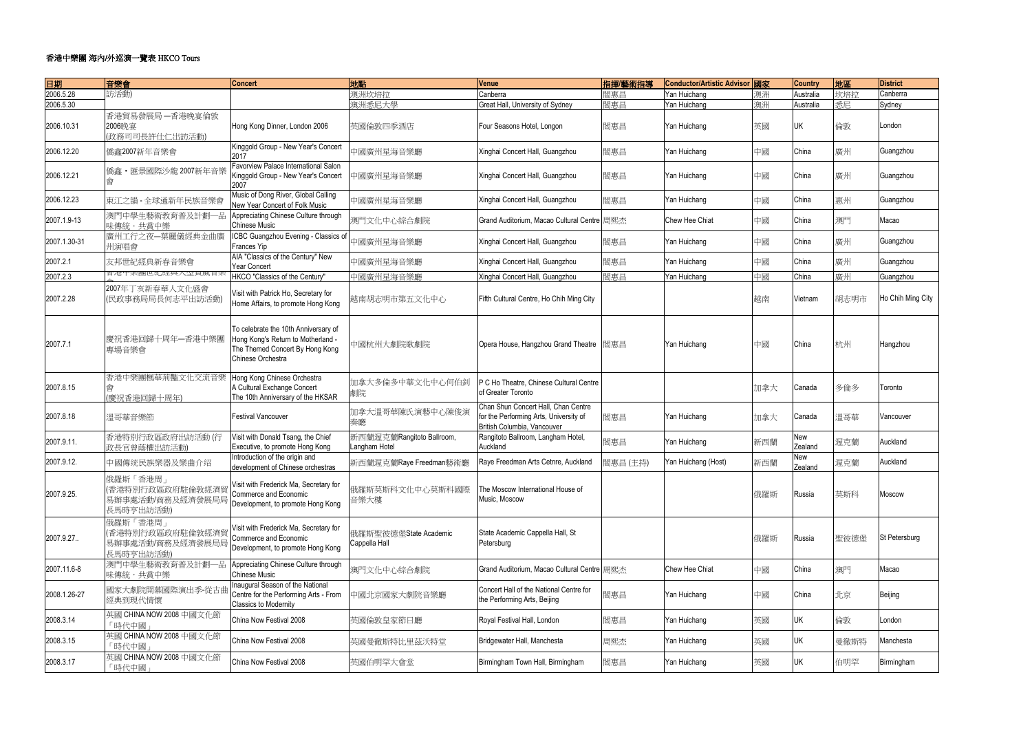# 香港中<mark>樂團</mark> 海內/外巡演一覽表 HKCO Tours

| 日期           | 音樂會                     | <b>Concert</b>                         | 地點                        | Venue                                       | 指揮麼術指導   | Conductor/Artistic Advisor 國家 |     | <b>Country</b> | 地區   | <b>District</b>   |
|--------------|-------------------------|----------------------------------------|---------------------------|---------------------------------------------|----------|-------------------------------|-----|----------------|------|-------------------|
| 2006.5.28    | 訪活動)                    |                                        | 澳洲坎培拉                     | Canberra                                    | 閻惠昌      | Yan Huichang                  | 澳洲  | Australia      | 坎培拉  | Canberra          |
| 2006.5.30    |                         |                                        | 澳洲悉尼大學                    | Great Hall, University of Sydney            | 閻惠昌      | Yan Huichang                  | 澳洲  | Australia      | 悉尼   | Sydney            |
|              | 香港貿易發展局 一香港晚宴倫敦         |                                        |                           |                                             |          |                               |     |                |      |                   |
| 2006.10.31   | 2006晚宴                  | Hong Kong Dinner, London 2006          | 英國倫敦四季酒店                  | Four Seasons Hotel, Longon                  | 閻惠昌      | Yan Huichang                  | 英國  | UK             | 倫敦   | London            |
|              | (政務司司長許仕仁出訪活動)          |                                        |                           |                                             |          |                               |     |                |      |                   |
|              |                         | Kinggold Group - New Year's Concert    |                           |                                             |          |                               |     |                |      |                   |
| 2006.12.20   | 僑鑫2007新年音樂會             | 2017                                   | 中國廣州星海音樂廳                 | Xinghai Concert Hall, Guangzhou             | 閻惠昌      | Yan Huichang                  | 中國  | China          | 廣州   | Guangzhou         |
|              |                         | Favorview Palace International Salon   |                           |                                             |          |                               |     |                |      |                   |
| 2006.12.21   | 僑鑫·匯景國際沙龍 2007新年音樂      | Kinggold Group - New Year's Concert    | 中國廣州星海音樂廳                 | Xinghai Concert Hall, Guangzhou             | 閻惠昌      | Yan Huichang                  | 中國  | China          | 廣州   | Guangzhou         |
|              |                         | 2007                                   |                           |                                             |          |                               |     |                |      |                   |
|              |                         | Music of Dong River, Global Calling    |                           |                                             |          |                               |     |                |      |                   |
| 2006.12.23   | 東江之韻 - 全球通新年民族音樂會       | New Year Concert of Folk Music         | 中國廣州星海音樂廳                 | Xinghai Concert Hall, Guangzhou             | 閻惠昌      | Yan Huichang                  | 中國  | China          | 惠州   | Guangzhou         |
|              | 澳門中學生藝術教育普及計劃一品         | Appreciating Chinese Culture through   |                           |                                             |          |                               |     |                |      |                   |
| 2007.1.9-13  | 味傳統・共賞中樂                | <b>Chinese Music</b>                   | 澳門文化中心綜合劇院                | Grand Auditorium, Macao Cultural Centre 周熙杰 |          | Chew Hee Chiat                | 中國  | China          | 澳門   | Macao             |
|              | 廣州工行之夜一葉麗儀經典金曲廣         | ICBC Guangzhou Evening - Classics of   |                           |                                             |          |                               |     |                |      |                   |
| 2007.1.30-31 | 州演唱會                    | Frances Yip                            | 中國廣州星海音樂廳                 | Xinghai Concert Hall, Guangzhou             | 閻惠昌      | Yan Huichang                  | 中國  | China          | 廣州   | Guangzhou         |
|              |                         | AIA "Classics of the Century" New      |                           |                                             |          |                               |     |                |      |                   |
| 2007.2.1     | 友邦世紀經典新春音樂會             | Year Concert                           | 中國廣州星海音樂廳                 | Xinghai Concert Hall, Guangzhou             | 閻惠昌      | Yan Huichang                  | 中國  | China          | 廣州   | Guangzhou         |
| 2007.2.3     | 甘冶甲禾圈巴紅鎠典八望貝厥日禾         | HKCO "Classics of the Century"         | 中國廣州星海音樂廳                 | Xinghai Concert Hall, Guangzhou             | 閻惠昌      | Yan Huichang                  | 中國  | China          | 廣州   | Guangzhou         |
|              | 2007年丁亥新春華人文化盛會         |                                        |                           |                                             |          |                               |     |                |      |                   |
| 2007.2.28    | (民政事務局局長何志平出訪活動)        | Visit with Patrick Ho, Secretary for   | 越南胡志明市第五文化中心              | Fifth Cultural Centre, Ho Chih Ming City    |          |                               | 越南  | Vietnam        | 胡志明市 | Ho Chih Ming City |
|              |                         | Home Affairs, to promote Hong Kong     |                           |                                             |          |                               |     |                |      |                   |
|              |                         |                                        |                           |                                             |          |                               |     |                |      |                   |
|              |                         | To celebrate the 10th Anniversary of   |                           |                                             |          |                               |     |                |      |                   |
|              | 慶祝香港回歸十周年一香港中樂團         | Hong Kong's Return to Motherland -     |                           |                                             |          |                               |     |                |      |                   |
| 2007.7.1     | 專場音樂會                   | The Themed Concert By Hong Kong        | 中國杭州大劇院歌劇院                | Opera House, Hangzhou Grand Theatre         | 閻惠昌      | Yan Huichang                  | 中國  | China          | 杭州   | Hangzhou          |
|              |                         | Chinese Orchestra                      |                           |                                             |          |                               |     |                |      |                   |
|              |                         |                                        |                           |                                             |          |                               |     |                |      |                   |
|              | 香港中樂團楓華荊豔文化交流音樂         | Hong Kong Chinese Orchestra            | 加拿大多倫多中華文化中心何伯釗           | P C Ho Theatre, Chinese Cultural Centre     |          |                               |     |                |      |                   |
| 2007.8.15    |                         | A Cultural Exchange Concert            |                           | of Greater Toronto                          |          |                               | 加拿大 | Canada         | 多倫多  | Toronto           |
|              | (慶祝香港回歸十周年)             | The 10th Anniversary of the HKSAR      | 劇院                        |                                             |          |                               |     |                |      |                   |
|              |                         |                                        | 加拿大溫哥華陳氏演藝中心陳俊演           | Chan Shun Concert Hall, Chan Centre         |          |                               |     |                |      |                   |
| 2007.8.18    | 溫哥華音樂節                  | <b>Festival Vancouver</b>              | 奏廳                        | for the Performing Arts, University of      | 閻惠昌      | Yan Huichang                  | 加拿大 | Canada         | 溫哥華  | Vancouver         |
|              |                         |                                        |                           | British Columbia, Vancouver                 |          |                               |     |                |      |                   |
| 2007.9.11.   | 香港特別行政區政府出訪活動(行         | Visit with Donald Tsang, the Chief     | 新西蘭渥克蘭Rangitoto Ballroom, | Rangitoto Ballroom, Langham Hotel,          | 閻惠昌      | Yan Huichang                  | 新西蘭 | New            | 渥克蘭  | Auckland          |
|              | 政長官曾蔭權出訪活動)             | Executive, to promote Hong Kong        | Langham Hotel             | Auckland                                    |          |                               |     | Zealand        |      |                   |
| 2007.9.12.   | 中國傳统民族樂器及樂曲介绍           | Introduction of the origin and         | 新西蘭渥克蘭Raye Freedman藝術廳    | Raye Freedman Arts Cetnre, Auckland         | 閻惠昌 (主持) | Yan Huichang (Host)           | 新西蘭 | New            | 渥克蘭  | Auckland          |
|              |                         | development of Chinese orchestras      |                           |                                             |          |                               |     | Zealand        |      |                   |
|              | 俄羅斯「香港周」                | Visit with Frederick Ma, Secretary for |                           |                                             |          |                               |     |                |      |                   |
| 2007.9.25.   | (香港特別行政區政府駐倫敦經濟         | Commerce and Economic                  | 俄羅斯莫斯科文化中心莫斯科國際           | The Moscow International House of           |          |                               |     | Russia         | 莫斯科  | Moscow            |
|              | 易辦事處活動/商務及經濟發展局局        | Development, to promote Hong Kong      | 音樂大樓                      | Music, Moscow                               |          |                               | 俄羅斯 |                |      |                   |
|              | 長馬時亨出訪活動)               |                                        |                           |                                             |          |                               |     |                |      |                   |
|              | 俄羅斯「香港周」                |                                        |                           |                                             |          |                               |     |                |      |                   |
|              | (香港特別行政區政府駐倫敦經濟貿        | Visit with Frederick Ma, Secretary for | 俄羅斯聖彼德堡State Academic     | State Academic Cappella Hall, St            |          |                               |     |                |      |                   |
| 2007.9.27.   | 易辦事處活動/商務及經濟發展局局        | Commerce and Economic                  | Cappella Hall             | Petersburg                                  |          |                               | 俄羅斯 | Russia         | 聖彼德堡 | St Petersburg     |
|              | 長馬時亨出訪活動)               | Development, to promote Hong Kong      |                           |                                             |          |                               |     |                |      |                   |
|              | 澳門中學生藝術教育普及計劃一品         | Appreciating Chinese Culture through   |                           |                                             |          |                               |     |                |      |                   |
| 2007.11.6-8  | 味傳統・共賞中樂                | <b>Chinese Music</b>                   | 澳門文化中心綜合劇院                | Grand Auditorium, Macao Cultural Centre 周熙杰 |          | Chew Hee Chiat                | 中國  | China          | 澳門   | Macao             |
|              |                         | Inaugural Season of the National       |                           |                                             |          |                               |     |                |      |                   |
| 2008.1.26-27 | 國家大劇院開幕國際演出季-從古曲        | Centre for the Performing Arts - From  | 中國北京國家大劇院音樂廳              | Concert Hall of the National Centre for     | 閻惠昌      | Yan Huichang                  | 中國  | China          | 北京   | Beijing           |
|              | 經典到現代情懷                 | <b>Classics to Modernity</b>           |                           | the Performing Arts, Beijing                |          |                               |     |                |      |                   |
|              | 英國 CHINA NOW 2008 中國文化節 |                                        |                           |                                             |          |                               |     |                |      |                   |
| 2008.3.14    | 「時代中國」                  | China Now Festival 2008                | 英國倫敦皇家節日廳                 | Royal Festival Hall, London                 | 閻惠昌      | Yan Huichang                  | 英國  | UK             | 倫敦   | London            |
|              | 英國 CHINA NOW 2008 中國文化節 |                                        |                           |                                             |          |                               |     |                |      |                   |
| 2008.3.15    | 「時代中國」                  | China Now Festival 2008                | 英國曼徹斯特比里茲沃特堂              | Bridgewater Hall, Manchesta                 | 周熙杰      | Yan Huichang                  | 英國  | UK             | 曼徹斯特 | Manchesta         |
|              | 英國 CHINA NOW 2008 中國文化節 |                                        |                           |                                             |          |                               |     |                |      |                   |
| 2008.3.17    |                         | China Now Festival 2008                | 英國伯明罕大會堂                  | Birmingham Town Hall, Birmingham            | 閻惠昌      | Yan Huichang                  | 英國  | UK             | 伯明罕  | Birmingham        |
|              | 「時代中國」                  |                                        |                           |                                             |          |                               |     |                |      |                   |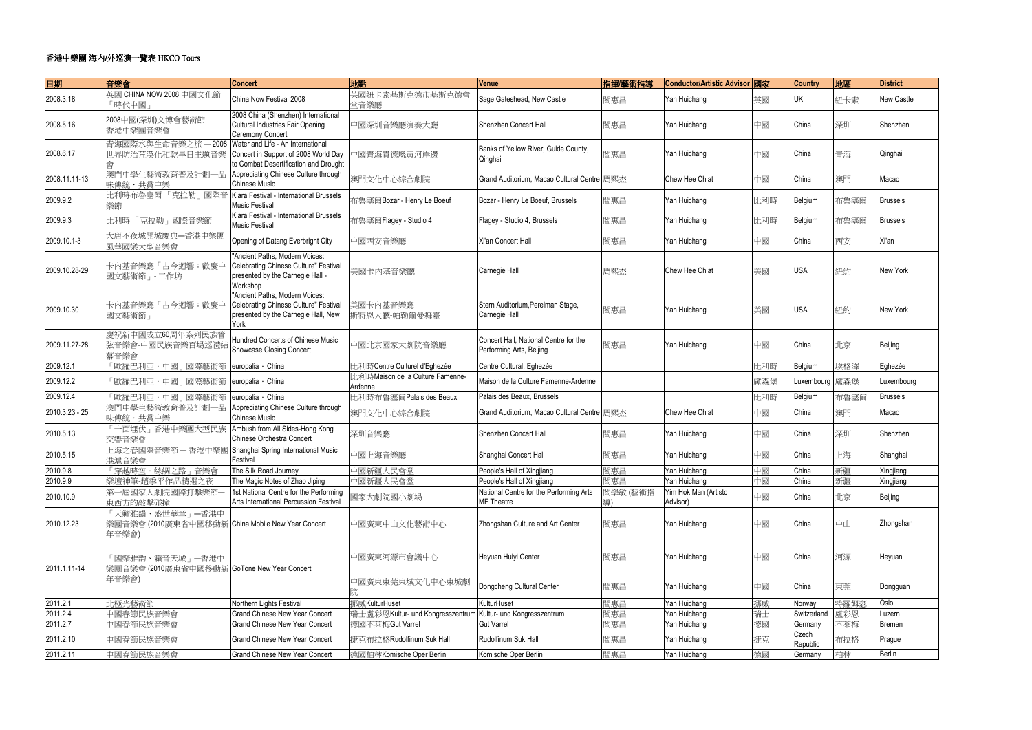| 日期             | 音樂會                                                                           | <b>Concert</b>                                                                                                          | 地點                                          | Venue                                                             | 指揮麼術指導   | Conductor/Artistic Advisor 國家    |     | <b>Country</b>    | 地區   | <b>District</b> |
|----------------|-------------------------------------------------------------------------------|-------------------------------------------------------------------------------------------------------------------------|---------------------------------------------|-------------------------------------------------------------------|----------|----------------------------------|-----|-------------------|------|-----------------|
| 2008.3.18      | 英國 CHINA NOW 2008 中國文化節<br>「時代中國                                              | China Now Festival 2008                                                                                                 | 英國紐卡素基斯克德市基斯克德會<br>堂音樂廳                     | Sage Gateshead, New Castle                                        | 閻惠昌      | Yan Huichang                     | 英國  | UK                | 紐卡素  | New Castle      |
| 2008.5.16      | 2008中國(深圳)文博會藝術節<br>香港中樂團音樂會                                                  | 2008 China (Shenzhen) International<br>Cultural Industries Fair Opening<br>Ceremony Concert                             | 中國深圳音樂廳演奏大廳                                 | Shenzhen Concert Hall                                             | 閻惠昌      | Yan Huichang                     | 中國  | China             | 深圳   | Shenzhen        |
| 2008.6.17      | 青海國際水與生命音樂之旅 - 2008<br>世界防治荒漠化和乾旱日主題音樂                                        | Water and Life - An International<br>Concert in Support of 2008 World Day<br>to Combat Desertification and Drought      | 中國青海貴德縣黄河岸邊                                 | Banks of Yellow River, Guide County,<br>Qinghai                   | 閻惠昌      | Yan Huichang                     | 中國  | China             | 青海   | Qinghai         |
| 2008.11.11-13  | 澳門中學生藝術教育普及計劃一品<br>味傳統・共賞中樂                                                   | Appreciating Chinese Culture through<br><b>Chinese Music</b>                                                            | 澳門文化中心綜合劇院                                  | Grand Auditorium, Macao Cultural Centre 周熙杰                       |          | Chew Hee Chiat                   | 中國  | China             | 澳門   | Macao           |
| 2009.9.2       | 比利時布魯塞爾「克拉勒」國際音<br>樂節                                                         | Klara Festival - International Brussels<br><b>Music Festival</b>                                                        | 布魯塞爾Bozar - Henry Le Boeuf                  | Bozar - Henry Le Boeuf, Brussels                                  | 閻惠昌      | Yan Huichang                     | 比利時 | Belgium           | 布魯塞爾 | <b>Brussels</b> |
| 2009.9.3       | 「克拉勒」國際音樂節<br>比利時                                                             | Klara Festival - International Brussels<br><b>Music Festival</b>                                                        | 布魯塞爾Flagey - Studio 4                       | Flagey - Studio 4, Brussels                                       | 閻惠昌      | Yan Huichang                     | 比利時 | Belgium           | 布魯塞爾 | <b>Brussels</b> |
| 2009.10.1-3    | 大唐不夜城開城慶典一香港中樂團<br>風華國樂大型音樂會                                                  | Opening of Datang Everbright City                                                                                       | 中國西安音樂廳                                     | Xi'an Concert Hall                                                | 閻惠昌      | Yan Huichang                     | 中國  | China             | 西安   | Xi'an           |
| 2009.10.28-29  | 卡内基音樂廳「古今迴響:歡慶中<br>國文藝術節」 工作坊                                                 | "Ancient Paths, Modern Voices:<br>Celebrating Chinese Culture" Festival<br>presented by the Carnegie Hall -<br>Workshop | 美國卡内基音樂廳                                    | Carnegie Hall                                                     | 周熙杰      | <b>Chew Hee Chiat</b>            | 美國  | <b>USA</b>        | 紐約   | New York        |
| 2009.10.30     | 卡内基音樂廳「古今迴響:歡慶中<br>國文藝術節」                                                     | "Ancient Paths, Modern Voices:<br>Celebrating Chinese Culture" Festival<br>presented by the Carnegie Hall, New<br>York  | 美國卡內基音樂廳<br>斯特恩大廳-帕勒爾曼舞臺                    | Stern Auditorium, Perelman Stage,<br>Carnegie Hall                | 閻惠昌      | Yan Huichang                     | 美國  | <b>USA</b>        | 紐約   | <b>New York</b> |
| 2009.11.27-28  | 慶祝新中國成立60周年系列民族管<br>弦音樂會-中國民族音樂百場巡禮結<br>幕音樂會                                  | Hundred Concerts of Chinese Music<br>Showcase Closing Concert                                                           | 中國北京國家大劇院音樂廳                                | Concert Hall, National Centre for the<br>Performing Arts, Beijing | 閻惠昌      | Yan Huichang                     | 中國  | China             | 北京   | Beijing         |
| 2009.12.1      | 「歐羅巴利亞・中國」國際藝術節                                                               | europalia · China                                                                                                       | 比利時Centre Culturel d'Eghezée                | Centre Cultural, Eghezée                                          |          |                                  | 比利時 | Belgium           | 埃格澤  | Eghezée         |
| 2009.12.2      | 「歐羅巴利亞・中國」國際藝術節                                                               | europalia · China                                                                                                       | 比利時Maison de la Culture Famenne-<br>Ardenne | Maison de la Culture Famenne-Ardenne                              |          |                                  | 盧森堡 | Luxembourg 盧森堡    |      | Luxembourg      |
| 2009.12.4      | 「歐羅巴利亞・中國」國際藝術節                                                               | europalia · China                                                                                                       | 比利時布魯塞爾Palais des Beaux                     | Palais des Beaux, Brussels                                        |          |                                  | 比利時 | Belgium           | 布魯塞爾 | <b>Brussels</b> |
| 2010.3.23 - 25 | 澳門中學生藝術教育普及計劃一品<br>味傳統・共賞中樂                                                   | Appreciating Chinese Culture through<br><b>Chinese Music</b>                                                            | 澳門文化中心綜合劇院                                  | Grand Auditorium, Macao Cultural Centre 周熙杰                       |          | Chew Hee Chiat                   | 中國  | China             | 澳門   | Macao           |
| 2010.5.13      | 「十面埋伏」香港中樂團大型民族<br>交響音樂會                                                      | Ambush from All Sides-Hong Kong<br>Chinese Orchestra Concert                                                            | 深圳音樂廳                                       | Shenzhen Concert Hall                                             | 閻惠昌      | Yan Huichang                     | 中國  | China             | 深圳   | Shenzhen        |
| 2010.5.15      | 上海之春國際音樂節 一香港中樂團<br>港滬音樂會                                                     | Shanghai Spring International Music<br>Festival                                                                         | 中國上海音樂廳                                     | Shanghai Concert Hall                                             | 閻惠昌      | Yan Huichang                     | 中國  | China             | 上海   | Shanghai        |
| 2010.9.8       | 「穿越時空・絲綢之路」音樂會                                                                | The Silk Road Journey                                                                                                   | 中國新疆人民會堂                                    | People's Hall of Xingjiang                                        | 閻惠昌      | Yan Huichang                     | 中國  | China             | 新疆   | Xingjiang       |
| 2010.9.9       | 樂壇神筆-趙季平作品精選之夜                                                                | The Magic Notes of Zhao Jiping                                                                                          | 中國新疆人民會堂                                    | People's Hall of Xingjiang                                        | 閻惠昌      | Yan Huichang                     | 中國  | China             | 新疆   | Xingjiang       |
| 2010.10.9      | 第一屆國家大劇院國際打擊樂節-<br>東西方的敲擊碰撞                                                   | 1st National Centre for the Performing<br>Arts International Percussion Festival                                        | 國家大劇院國小劇場                                   | National Centre for the Performing Arts<br><b>MF</b> Theatre      | 閻學敏 (藝術指 | Yim Hok Man (Artistc<br>Advisor) | 中國  | China             | 北京   | Beijing         |
| 2010.12.23     | 「天籟雅韻、盛世華章」 一香港中<br>樂團音樂會(2010廣東省中國移動新 China Mobile New Year Concert<br>年音樂會) |                                                                                                                         | 中國廣東中山文化藝術中心                                | Zhongshan Culture and Art Center                                  | 閻惠昌      | Yan Huichang                     | 中國  | China             | 中山   | Zhongshan       |
| 2011.1.11-14   | 「國樂雅韵、籟音天城」 ―香港中<br>樂團音樂會 (2010廣東省中國移動新 GoTone New Year Concert               |                                                                                                                         | 中國廣東河源市會議中心                                 | Heyuan Huiyi Center                                               | 閻惠昌      | Yan Huichang                     | 中國  | China             | 河源   | Heyuan          |
|                | 年音樂會)                                                                         |                                                                                                                         | 中國廣東東莞東城文化中心東城劇                             | Dongcheng Cultural Center                                         | 閻惠昌      | Yan Huichang                     | 中國  | China             | 東莞   | Dongguan        |
| 2011.2.1       | 北極光藝術節                                                                        | Northern Lights Festival                                                                                                | 挪威KulturHuset                               | KulturHuset                                                       | 閻惠昌      | Yan Huichang                     | 挪威  | Norway            | 特羅姆瑟 | Oslo            |
| 2011.2.4       | 中國春節民族音樂會                                                                     | <b>Grand Chinese New Year Concert</b>                                                                                   | 瑞士盧彩恩Kultur- und Kongresszentrum            | Kultur- und Kongresszentrum                                       | 閻惠昌      | Yan Huichang                     | 瑞士  | Switzerland       | 盧彩恩  | Luzern          |
| 2011.2.7       | 中國春節民族音樂會                                                                     | <b>Grand Chinese New Year Concert</b>                                                                                   | 德國不萊梅Gut Varrel                             | <b>Gut Varrel</b>                                                 | 閻惠昌      | Yan Huichang                     | 德國  | Germany           | 不萊梅  | <b>Bremen</b>   |
| 2011.2.10      | 中國春節民族音樂會                                                                     | <b>Grand Chinese New Year Concert</b>                                                                                   | 捷克布拉格Rudolfinum Suk Hall                    | Rudolfinum Suk Hall                                               | 閻惠昌      | Yan Huichang                     | 捷克  | Czech<br>Republic | 布拉格  | Prague          |
| 2011.2.11      | 中國春節民族音樂會                                                                     | <b>Grand Chinese New Year Concert</b>                                                                                   | 德國柏林Komische Oper Berlin                    | Komische Oper Berlin                                              | 閻惠昌      | Yan Huichang                     | 德國  | Germany           | 柏林   | Berlin          |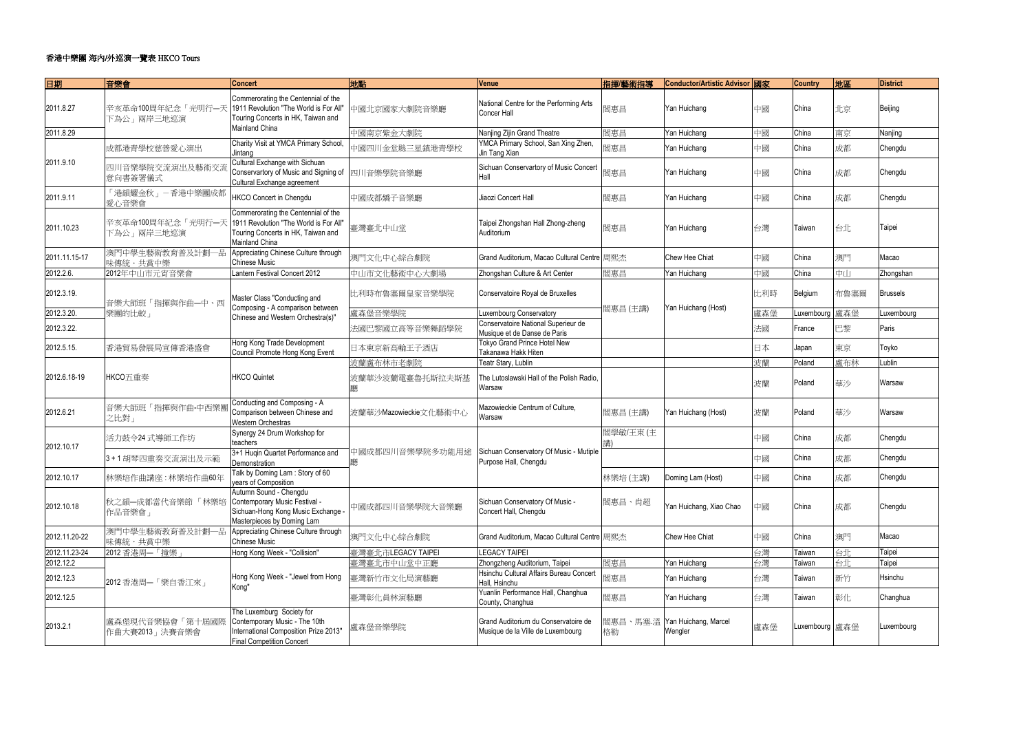| 日期            | 音樂會                               | <b>Concert</b>                                                                                                                          | 地點                    | Venue                                                                     | 指揮/藝術指導  | Conductor/Artistic Advisor 國家            |     | <b>Country</b> | 地區   | <b>District</b> |
|---------------|-----------------------------------|-----------------------------------------------------------------------------------------------------------------------------------------|-----------------------|---------------------------------------------------------------------------|----------|------------------------------------------|-----|----------------|------|-----------------|
| 2011.8.27     | 辛亥革命100周年紀念「光明行一天<br>下為公」兩岸三地巡演   | Commerorating the Centennial of the<br>1911 Revolution "The World is For All"<br>Touring Concerts in HK, Taiwan and                     | 中國北京國家大劇院音樂廳          | National Centre for the Performing Arts<br>Concer Hall                    | 閻惠昌      | Yan Huichang                             | 中國  | China          | 北京   | Beijing         |
| 2011.8.29     |                                   | <b>Mainland China</b>                                                                                                                   | 中國南京紫金大劇院             | Nanjing Zijin Grand Theatre                                               | 閻惠昌      | Yan Huichang                             | 中國  | China          | 南京   | Nanjing         |
|               | 成都港青學校慈善愛心演出                      | Charity Visit at YMCA Primary School,<br>Jintang                                                                                        | 中國四川金堂縣三星鎮港青學校        | YMCA Primary School, San Xing Zhen,<br>Jin Tang Xian                      | 閻惠昌      | Yan Huichang                             | 中國  | China          | 成都   | Chengdu         |
| 2011.9.10     | 四川音樂學院交流演出及藝術交<br>意向書簽署儀式         | Cultural Exchange with Sichuan<br>Conservartory of Music and Signing of<br>Cultural Exchange agreement                                  | 四川音樂學院音樂廳             | Sichuan Conservartory of Music Concert<br>Hall                            | 閻惠昌      | Yan Huichang                             | 中國  | China          | 成都   | Chengdu         |
| 2011.9.11     | 「港韻耀金秋」-香港中樂團成都<br>愛心音樂會          | <b>HKCO Concert in Chengdu</b>                                                                                                          | 中國成都嬌子音樂廳             | Jiaozi Concert Hall                                                       | 閻惠昌      | Yan Huichang                             | 中國  | China          | 成都   | Chengdu         |
| 2011.10.23    | 辛亥革命100周年紀念「光明行一天<br>下為公」兩岸三地巡演   | Commerorating the Centennial of the<br>1911 Revolution "The World is For All"<br>Touring Concerts in HK, Taiwan and<br>Mainland China   | 臺灣臺北中山堂               | Taipei Zhongshan Hall Zhong-zheng<br>Auditorium                           | 閻惠昌      | Yan Huichang                             | 台灣  | Taiwan         | 台北   | Taipei          |
| 2011.11.15-17 | 澳門中學生藝術教育普及計劃一品<br>味傳統・共賞中樂       | Appreciating Chinese Culture through<br><b>Chinese Music</b>                                                                            | 澳門文化中心綜合劇院            | Grand Auditorium, Macao Cultural Centre 周熙杰                               |          | Chew Hee Chiat                           | 中國  | China          | 澳門   | Macao           |
| 2012.2.6.     | 2012年中山市元宵音樂會                     | Lantern Festival Concert 2012                                                                                                           | 中山市文化藝術中心大劇場          | Zhongshan Culture & Art Center                                            | 閻惠昌      | Yan Huichang                             | 中國  | China          | 中山   | Zhongshan       |
| 2012.3.19.    | 音樂大師班「指揮與作曲一中、西                   | Master Class "Conducting and                                                                                                            | 比利時布魯塞爾皇家音樂學院         | Conservatoire Royal de Bruxelles                                          |          |                                          | 比利時 | Belgium        | 布魯塞爾 | <b>Brussels</b> |
| 2012.3.20.    | 樂團的比較」                            | Composing - A comparison between<br>Chinese and Western Orchestra(s)"                                                                   | 盧森堡音樂學院               | Luxembourg Conservatory                                                   | 閻惠昌 (主講) | Yan Huichang (Host)                      | 盧森堡 | Luxembourg 盧森堡 |      | Luxembourg      |
| 2012.3.22.    |                                   |                                                                                                                                         | 法國巴黎國立高等音樂舞蹈學院        | Conservatoire National Superieur de<br>Musique et de Danse de Paris       |          |                                          | 法國  | France         | 巴黎   | Paris           |
| 2012.5.15.    | 香港貿易發展局宣傳香港盛會                     | Hong Kong Trade Development<br>Council Promote Hong Kong Event                                                                          | 日本東京新高輪王子酒店           | Tokyo Grand Prince Hotel New<br>Takanawa Hakk Hiten                       |          |                                          | 日本  | Japan          | 東京   | Toyko           |
|               |                                   |                                                                                                                                         | 波蘭盧布林市老劇院             | Teatr Stary, Lublin                                                       |          |                                          | 波蘭  | Poland         | 盧布林  | Lublin          |
| 2012.6.18-19  | HKCO五重奏                           | <b>HKCO Quintet</b>                                                                                                                     | 波蘭華沙波蘭電臺魯托斯拉夫斯基<br>廳  | The Lutoslawski Hall of the Polish Radio,<br>Warsaw                       |          |                                          | 波蘭  | Poland         | 華沙   | Warsaw          |
| 2012.6.21     | 音樂大師班「指揮與作曲-中西樂<br>之比對」           | Conducting and Composing - A<br>Comparison between Chinese and<br>Western Orchestras                                                    | 波蘭華沙Mazowieckie文化藝術中心 | Mazowieckie Centrum of Culture,<br>Warsaw                                 | 閻惠昌 (主講) | Yan Huichang (Host)                      | 波蘭  | Poland         | 華沙   | Warsaw          |
| 2012.10.17    | 活力鼓令24 式導師工作坊                     | Synergy 24 Drum Workshop for<br>teachers                                                                                                |                       |                                                                           | 閻學敏/王東(主 |                                          | 中國  | China          | 成都   | Chengdu         |
|               | 3+1胡琴四重奏交流演出及示範                   | 3+1 Huqin Quartet Performance and<br>Demonstration                                                                                      | 中國成都四川音樂學院多功能用途<br>廳  | Sichuan Conservatory Of Music - Mutiple<br>Purpose Hall, Chengdu          |          |                                          | 中國  | China          | 成都   | Chengdu         |
| 2012.10.17    | 林樂培作曲講座:林樂培作曲60年                  | Talk by Doming Lam: Story of 60<br>years of Composition                                                                                 |                       |                                                                           | 林樂培 (主講) | Doming Lam (Host)                        | 中國  | China          | 成都   | Chengdu         |
| 2012.10.18    | 秋之韻一成都當代音樂節「林樂培<br>作品音樂會」         | Autumn Sound - Chengdu<br>Contemporary Music Festival -<br>Sichuan-Hong Kong Music Exchange<br>Masterpieces by Doming Lam               | 中國成都四川音樂學院大音樂廳        | Sichuan Conservatory Of Music -<br>Concert Hall, Chengdu                  | 閻惠昌、肖超   | Yan Huichang, Xiao Chao                  | 中國  | China          | 成都   | Chengdu         |
| 2012.11.20-22 | 澳門中學生藝術教育普及計劃一品<br>味傳統・共賞中樂       | Appreciating Chinese Culture through<br><b>Chinese Music</b>                                                                            | 澳門文化中心綜合劇院            | Grand Auditorium, Macao Cultural Centre 周熙杰                               |          | Chew Hee Chiat                           | 中國  | China          | 澳門   | Macao           |
| 2012.11.23-24 | 2012 香港周–「撞樂」                     | Hong Kong Week - "Collision"                                                                                                            | 臺灣臺北市LEGACY TAIPEI    | <b>LEGACY TAIPEI</b>                                                      |          |                                          | 台灣  | Taiwan         | 台北   | Taipei          |
| 2012.12.2     |                                   |                                                                                                                                         | 臺灣臺北市中山堂中正廳           | Zhongzheng Auditorium, Taipei                                             | 閻惠昌      | Yan Huichang                             | 台灣  | Taiwan         | 台北   | Taipei          |
| 2012.12.3     | 2012 香港周一「樂自香江來」                  | Hong Kong Week - "Jewel from Hong<br>Kong"                                                                                              | 臺灣新竹市文化局演藝廳           | Hsinchu Cultural Affairs Bureau Concert<br>Hall, Hsinchu                  | 閻惠昌      | Yan Huichang                             | 台灣  | Taiwan         | 新竹   | Hsinchu         |
| 2012.12.5     |                                   |                                                                                                                                         | 臺灣彰化員林演藝廳             | Yuanlin Performance Hall, Changhua<br>County, Changhua                    | 閻惠昌      | Yan Huichang                             | 台灣  | Taiwan         | 彰化   | Changhua        |
| 2013.2.1      | 盧森堡現代音樂協會「第十屆國際<br>作曲大賽2013」決賽音樂會 | The Luxemburg Society for<br>Contemporary Music - The 10th<br>International Composition Prize 2013"<br><b>Final Competition Concert</b> | 盧森堡音樂學院               | Grand Auditorium du Conservatoire de<br>Musique de la Ville de Luxembourg | 格勒       | 閻惠昌、馬塞.溫 Yan Huichang, Marcel<br>Wengler | 盧森堡 | Luxembourg 盧森堡 |      | Luxembourg      |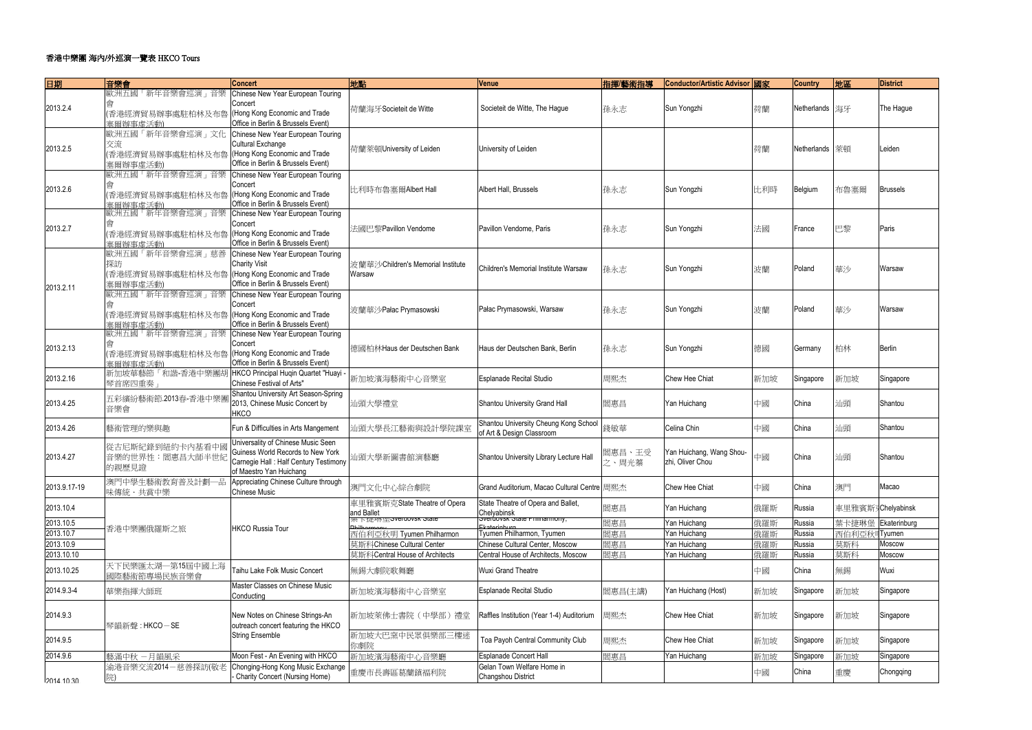| 日期                       | 音樂會                                                                                  | <b>Concert</b>                                                                                                                               | 地點                                          | Venue                                                              | 指揮/藝術指導         | Conductor/Artistic Advisor 國家                |           | <b>Country</b>   | 地區                 | <b>District</b> |
|--------------------------|--------------------------------------------------------------------------------------|----------------------------------------------------------------------------------------------------------------------------------------------|---------------------------------------------|--------------------------------------------------------------------|-----------------|----------------------------------------------|-----------|------------------|--------------------|-----------------|
|                          | 歐洲五國「新年音樂會巡演」音樂                                                                      | Chinese New Year European Touring                                                                                                            |                                             |                                                                    |                 |                                              |           |                  |                    |                 |
| 2013.2.4                 | 雷港經濟貿易辦事處駐柏林及布魯<br>寒爾辦事虛活動)                                                          | Concert<br>(Hong Kong Economic and Trade<br>Office in Berlin & Brussels Event)                                                               | 荷蘭海牙Societeit de Witte                      | Societeit de Witte, The Hague                                      | 孫永志             | Sun Yongzhi                                  | 荷蘭        | Netherlands  海牙  |                    | The Hague       |
| 2013.2.5                 | 歐洲五國「新年音樂會巡演」文化<br>交流<br>(香港經濟貿易辦事處駐柏林及布魯  (Hong Kong Economic and Trade<br>塞爾辦事虛活動) | Chinese New Year European Touring<br><b>Cultural Exchange</b><br>Office in Berlin & Brussels Event)                                          | 荷蘭萊頓University of Leiden                    | University of Leiden                                               |                 |                                              | 荷蘭        | Netherlands   萊頓 |                    | Leiden          |
| 2013.2.6                 | 歐洲五國「新年音樂會巡演」音樂<br>(香港經濟貿易辦事處駐柏林及布魯   (Hong Kong Economic and Trade<br>寒爾辦事虛活動)      | Chinese New Year European Touring<br>Concert<br>Office in Berlin & Brussels Event)                                                           | 比利時布魯塞爾Albert Hall                          | Albert Hall, Brussels                                              | 孫永志             | Sun Yongzhi                                  | 比利時       | Belgium          | 布魯塞爾               | <b>Brussels</b> |
| 2013.2.7                 | 歐洲五國「新年音樂會巡演」音樂<br>【香港經濟貿易辦事處駐柏林及布魯<br>寒爾辦事虛活動)                                      | Chinese New Year European Touring<br>Concert<br>(Hong Kong Economic and Trade<br>Office in Berlin & Brussels Event)                          | 法國巴黎Pavillon Vendome                        | Pavillon Vendome, Paris                                            | 孫永志             | Sun Yongzhi                                  | 法國        | France           | 巴黎                 | Paris           |
| 2013.2.11                | 歐洲五國「新年音樂會巡演」慈善<br>探訪<br>(香港經濟貿易辦事處駐柏林及布魯  (Hong Kong Economic and Trade<br>塞爾辦事虛活動) | Chinese New Year European Touring<br><b>Charity Visit</b><br>Office in Berlin & Brussels Event)                                              | 波蘭華沙Children's Memorial Institute<br>Warsaw | Children's Memorial Institute Warsaw                               | 孫永志             | Sun Yongzhi                                  | 波蘭        | Poland           | 華沙                 | Warsaw          |
|                          | 歐洲五國「新年音樂會巡演」音樂<br>(香港經濟貿易辦事處駐柏林及布魯   (Hong Kong Economic and Trade<br>寒爾辦事虛活動)      | Chinese New Year European Touring<br>Concert<br>Office in Berlin & Brussels Event)                                                           | 波蘭華沙Pałac Prymasowski                       | Pałac Prymasowski, Warsaw                                          | 孫永志             | Sun Yongzhi                                  | 波蘭        | Poland           | 華沙                 | Warsaw          |
| 2013.2.13                | 歐洲五國「新年音樂會巡演」音樂<br>(香港經濟貿易辦事處駐柏林及布魯<br>塞爾辦事虛活動)                                      | Chinese New Year European Touring<br>Concert<br>(Hong Kong Economic and Trade<br>Office in Berlin & Brussels Event)                          | 德國柏林Haus der Deutschen Bank                 | Haus der Deutschen Bank, Berlin                                    | 孫永志             | Sun Yongzhi                                  | 德國        | Germany          | 柏林                 | Berlin          |
| 2013.2.16                | 新加坡華藝節「和諧-香港中樂團胡<br>琴首席四重奏                                                           | HKCO Principal Huqin Quartet "Huayi -<br>Chinese Festival of Arts"                                                                           | 新加坡濱海藝術中心音樂室                                | <b>Esplanade Recital Studio</b>                                    | 周熙杰             | Chew Hee Chiat                               | 新加坡       | Singapore        | 新加坡                | Singapore       |
| 2013.4.25                | 五彩繽紛藝術節.2013春-香港中樂團<br>音樂會                                                           | Shantou University Art Season-Spring<br>2013, Chinese Music Concert by<br><b>HKCO</b>                                                        | 汕頭大學禮堂                                      | Shantou University Grand Hall                                      | 閻惠昌             | Yan Huichang                                 | 中國        | China            | 汕頭                 | Shantou         |
| 2013.4.26                | 藝術管理的樂與趣                                                                             | Fun & Difficulties in Arts Mangement                                                                                                         | 汕頭大學長江藝術與設計學院課室                             | Shantou University Cheung Kong School<br>of Art & Design Classroom | 錢敏華             | Celina Chin                                  | 中國        | China            | 汕頭                 | Shantou         |
| 2013.4.27                | 從古尼斯紀錄到紐約卡內基看中國<br>音樂的世界性:閻惠昌大師半世紀<br>的親歷見證                                          | Universality of Chinese Music Seen<br>Guiness World Records to New York<br>Carnegie Hall : Half Century Testimony<br>of Maestro Yan Huichang | 汕頭大學新圖書館演藝廳                                 | Shantou University Library Lecture Hall                            | 閻惠昌、王受<br>之、周光蓁 | Yan Huichang, Wang Shou-<br>zhi, Oliver Chou | 中國        | China            | 汕頭                 | Shantou         |
| 2013.9.17-19             | 澳門中學生藝術教育普及計劃一品<br>味傳統・共賞中樂                                                          | Appreciating Chinese Culture through<br><b>Chinese Music</b>                                                                                 | 澳門文化中心綜合劇院                                  | Grand Auditorium, Macao Cultural Centre 周熙杰                        |                 | Chew Hee Chiat                               | 中國        | China            | 澳門                 | Macao           |
| 2013.10.4                |                                                                                      |                                                                                                                                              | 車里雅賓斯克State Theatre of Opera<br>and Ballet  | State Theatre of Opera and Ballet,<br>Chelyabinsk                  | 閻惠昌             | Yan Huichang                                 | 俄羅斯       | Russia           | 車里雅賓斯JChelyabinsk  |                 |
| 2013.10.5                | 香港中樂團俄羅斯之旅                                                                           | <b>HKCO Russia Tour</b>                                                                                                                      | 果下捷琳座 overdovsk olate                       | <b>Svertiovsk State Frimmannony,</b>                               | 閻惠昌             | Yan Huichang                                 | 俄羅斯       | Russia           | 葉卡捷琳堡 Ekaterinburg |                 |
| 2013.10.7                |                                                                                      |                                                                                                                                              | 西伯利亞秋明 Tyumen Philharmon                    | Tyumen Philharmon, Tyumen                                          | 閻惠昌             | Yan Huichang                                 | 俄羅斯       | Russia           | 西伯利亞秋              | 可Tyumen         |
| 2013.10.9                |                                                                                      |                                                                                                                                              | 莫斯科Chinese Cultural Center                  | Chinese Cultural Center, Moscow                                    | 閻惠昌             | Yan Huichang                                 | 俄羅斯       | Russia           | 莫斯科                | Moscow          |
| 2013.10.10<br>2013.10.25 | 天下民樂匯太湖—第15屆中國上海<br>國際藝術節專場民族音樂會                                                     | Taihu Lake Folk Music Concert                                                                                                                | 莫斯科Central House of Architects<br>無錫大劇院歌舞廳  | Central House of Architects, Moscow<br>Wuxi Grand Theatre          | 閻惠昌             | Yan Huichang                                 | 俄羅斯<br>中國 | Russia<br>China  | 莫斯科<br>無錫          | Moscow<br>Wuxi  |
| 2014.9.3-4               | 華樂指揮大師班                                                                              | Master Classes on Chinese Music<br>Conducting                                                                                                | 新加坡濱海藝術中心音樂室                                | <b>Esplanade Recital Studio</b>                                    | 閻惠昌(主講)         | Yan Huichang (Host)                          | 新加坡       | Singapore        | 新加坡                | Singapore       |
| 2014.9.3                 | 琴韻新聲: HKCO-SE                                                                        | New Notes on Chinese Strings-An<br>outreach concert featuring the HKCO                                                                       | 新加坡萊佛士書院 (中學部) 禮堂                           | Raffles Institution (Year 1-4) Auditorium                          | 周熙杰             | Chew Hee Chiat                               | 新加坡       | Singapore        | 新加坡                | Singapore       |
| 2014.9.5                 |                                                                                      | String Ensemble                                                                                                                              | 新加坡大巴窯中民眾俱樂部三樓迷<br>你劇院                      | Toa Payoh Central Community Club                                   | 周熙杰             | Chew Hee Chiat                               | 新加坡       | Singapore        | 新加坡                | Singapore       |
| 2014.9.6                 | 藝滿中秋 一月韻風采                                                                           | Moon Fest - An Evening with HKCO                                                                                                             | 新加坡濱海藝術中心音樂廳                                | <b>Esplanade Concert Hall</b>                                      | 閻惠昌             | Yan Huichang                                 | 新加坡       | Singapore        | 新加坡                | Singapore       |
| 2014 10:30               | 渝港音樂交流2014-慈善探訪(敬老                                                                   | Chonging-Hong Kong Music Exchange<br>Charity Concert (Nursing Home)                                                                          | 重慶市長壽區葛蘭鎮福利院                                | Gelan Town Welfare Home in<br>Changshou District                   |                 |                                              | 中國        | China            | 重慶                 | Chongqing       |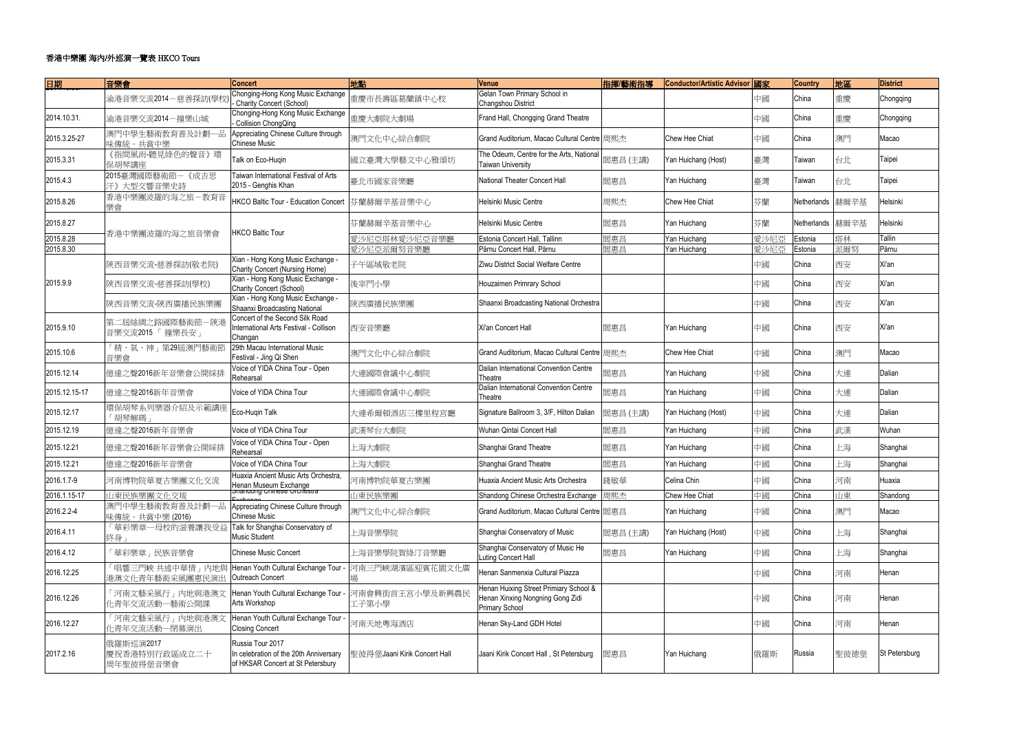| 日期            | 音樂會                                               | <b>Concert</b>                                                                                  | 地點                           | Venue                                                                                               | 指揮/藝術指導  | Conductor/Artistic Advisor 國家 |      | <b>Country</b>   | 地區   | <b>District</b>      |
|---------------|---------------------------------------------------|-------------------------------------------------------------------------------------------------|------------------------------|-----------------------------------------------------------------------------------------------------|----------|-------------------------------|------|------------------|------|----------------------|
|               | 渝港音樂交流2014-慈善探訪(學校                                | Chonging-Hong Kong Music Exchange<br>- Charity Concert (School)                                 | 重慶市長壽區葛蘭鎮中心校                 | Gelan Town Primary School in<br>Changshou District                                                  |          |                               | 中國   | China            | 重慶   | Chongqing            |
| 2014.10.31.   | 渝港音樂交流2014-撞樂山城                                   | Chonging-Hong Kong Music Exchange<br>Collision ChongQing                                        | 重慶大劇院大劇場                     | Frand Hall, Chongqing Grand Theatre                                                                 |          |                               | 中國   | China            | 重慶   | Chongqing            |
| 2015.3.25-27  | 澳門中學生藝術教育普及計劃一品<br>味傳統・共賞中樂                       | Appreciating Chinese Culture through<br><b>Chinese Music</b>                                    | 澳門文化中心綜合劇院                   | Grand Auditorium, Macao Cultural Centre 周熙杰                                                         |          | Chew Hee Chiat                | 中國   | China            | 澳門   | Macao                |
| 2015.3.31     | 《指間風雨-聽見綠色的聲音》環<br>保胡琴講座                          | Talk on Eco-Huqin                                                                               | 國立臺灣大學藝文中心雅頌坊                | The Odeum, Centre for the Arts, National<br><b>Taiwan University</b>                                | 閻惠昌(主講)  | Yan Huichang (Host)           | 臺灣   | Taiwan           | 台北   | Taipei               |
| 2015.4.3      | 2015臺灣國際藝術節一《成吉思<br>汗》大型交響音樂史詩                    | Taiwan International Festival of Arts<br>2015 - Genghis Khan                                    | 臺北市國家音樂廳                     | <b>National Theater Concert Hall</b>                                                                | 閻惠昌      | Yan Huichang                  | 臺灣   | Taiwan           | 台北   | Taipei               |
| 2015.8.26     | 香港中樂團波羅的海之旅一教育音<br>樂會                             | <b>HKCO Baltic Tour - Education Concert</b>                                                     | 芬蘭赫爾辛基音樂中心                   | <b>Helsinki Music Centre</b>                                                                        | 周熙杰      | Chew Hee Chiat                | 芬蘭   | Netherlands 赫爾辛基 |      | Helsinki             |
| 2015.8.27     |                                                   |                                                                                                 | 芬蘭赫爾辛基音樂中心                   | <b>Helsinki Music Centre</b>                                                                        | 閻惠昌      | Yan Huichang                  | 芬蘭   | Netherlands 赫爾辛基 |      | Helsinki             |
| 2015.8.28     | 香港中樂團波羅的海之旅音樂會                                    | <b>HKCO Baltic Tour</b>                                                                         | 愛沙尼亞塔林愛沙尼亞音樂廳                | Estonia Concert Hall, Tallinn                                                                       | 閻惠昌      | Yan Huichang                  | 愛沙尼亞 | Estonia          | 塔林   | Tallin               |
| 2015.8.30     |                                                   |                                                                                                 | 愛沙尼亞派爾努音樂廳                   | Pärnu Concert Hall, Pärnu                                                                           | 閻惠昌      | Yan Huichang                  | 愛沙尼亞 | Estonia          | 派爾努  | Pärnu                |
|               | 陝西音樂交流-慈善探訪(敬老院)                                  | Xian - Hong Kong Music Exchange -<br>Charity Concert (Nursing Home)                             | 子午區域敬老院                      | Ziwu District Social Welfare Centre                                                                 |          |                               | 中國   | China            | 西安   | Xi'an                |
| 2015.9.9      | 陝西音樂交流-慈善探訪(學校)                                   | Xian - Hong Kong Music Exchange -<br><b>Charity Concert (School)</b>                            | 後宰門小學                        | Houzaimen Primrary School                                                                           |          |                               | 中國   | China            | 西安   | Xi'an                |
|               | 陝西音樂交流-陝西廣播民族樂團                                   | Xian - Hong Kong Music Exchange -<br>Shaanxi Broadcasting National                              | 陝西廣播民族樂團                     | Shaanxi Broadcasting National Orchestra                                                             |          |                               | 中國   | China            | 西安   | Xi'an                |
| 2015.9.10     | 第二屆絲綢之路國際藝術 <mark>節-</mark> 陝港<br>音樂交流2015「 撞樂長安」 | Concert of the Second Silk Road<br>International Arts Festival - Collison<br>Changan            | 西安音樂廳                        | Xi'an Concert Hall                                                                                  | 閻惠昌      | Yan Huichang                  | 中國   | China            | 西安   | Xi'an                |
| 2015.10.6     | 「精・氣・神」第29屆澳門藝術節<br>音樂會                           | 29th Macau International Music<br>Festival - Jing Qi Shen                                       | 澳門文化中心綜合劇院                   | Grand Auditorium, Macao Cultural Centre 周熙杰                                                         |          | Chew Hee Chiat                | 中國   | China            | 澳門   | Macao                |
| 2015.12.14    | 億達之聲2016新年音樂會公開綵排                                 | Voice of YIDA China Tour - Open<br>Rehearsal                                                    | 大連國際會議中心劇院                   | Dalian International Convention Centre<br>Theatre                                                   | 閻惠昌      | Yan Huichang                  | 中國   | China            | 大連   | Dalian               |
| 2015.12.15-17 | 億達之聲2016新年音樂會                                     | Voice of YIDA China Tour                                                                        | 大連國際會議中心劇院                   | Dalian International Convention Centre<br>Theatre                                                   | 閻惠昌      | Yan Huichang                  | 中國   | China            | 大連   | Dalian               |
| 2015.12.17    | 環保胡琴系列樂器介紹及示範講座<br>「胡琴解碼」                         | Eco-Huqin Talk                                                                                  | 大連希爾頓酒店三樓里程宮廳                | Signature Ballroom 3, 3/F, Hilton Dalian                                                            | 閻惠昌 (主講) | Yan Huichang (Host)           | 中國   | China            | 大連   | Dalian               |
| 2015.12.19    | 億達之聲2016新年音樂會                                     | Voice of YIDA China Tour                                                                        | 武漢琴台大劇院                      | Wuhan Qintai Concert Hall                                                                           | 閻惠昌      | Yan Huichang                  | 中國   | China            | 武漢   | Wuhan                |
| 2015.12.21    | 億達之聲2016新年音樂會公開綵排                                 | Voice of YIDA China Tour - Open<br>Rehearsal                                                    | 上海大劇院                        | Shanghai Grand Theatre                                                                              | 閻惠昌      | Yan Huichang                  | 中國   | China            | 上海   | Shanghai             |
| 2015.12.21    | 億達之聲2016新年音樂會                                     | Voice of YIDA China Tour                                                                        | 上海大劇院                        | Shanghai Grand Theatre                                                                              | 閻惠昌      | Yan Huichang                  | 中國   | China            | 上海   | Shanghai             |
| 2016.1.7-9    | 河南博物院華夏古樂團文化交流                                    | Huaxia Ancient Music Arts Orchestra,<br>Henan Museum Exchange<br>Shahuong Chinese Orchestra     | 河南博物院華夏古樂團                   | Huaxia Ancient Music Arts Orchestra                                                                 | 錢敏華      | Celina Chin                   | 中國   | China            | 河南   | Huaxia               |
| 2016.1.15-17  | 山東民族樂團文化交琉                                        |                                                                                                 | 山東民族樂團                       | Shandong Chinese Orchestra Exchange                                                                 | 周熙杰      | Chew Hee Chiat                | 中國   | China            | 山東   | Shandong             |
| 2016.2.2-4    | 澳門中學生藝術教育普及計劃一品<br>味傳統·共賞中樂(2016)                 | Appreciating Chinese Culture through<br><b>Chinese Music</b>                                    | 澳門文化中心綜合劇院                   | Grand Auditorium, Macao Cultural Centre   閻惠昌                                                       |          | Yan Huichang                  | 中國   | China            | 澳門   | Macao                |
| 2016.4.11     | 「華彩樂章一母校的滋養讓我受益<br>終身」                            | Talk for Shanghai Conservatory of<br>Music Student                                              | 上海音樂學院                       | Shanghai Conservatory of Music                                                                      | 閻惠昌(主講)  | Yan Huichang (Host)           | 中國   | China            | 上海   | Shanghai             |
| 2016.4.12     | 「華彩樂章」民族音樂會                                       | <b>Chinese Music Concert</b>                                                                    | 上海音樂學院賀綠汀音樂廳                 | Shanghai Conservatory of Music He<br>Luting Concert Hall                                            | 閻惠昌      | Yan Huichang                  | 中國   | China            | 上海   | Shanghai             |
| 2016.12.25    | 「唱響三門峽 共述中華情」內地與<br>港澳文化青年藝術采風團惠民演出               | Henan Youth Cultural Exchange Tour<br>Outreach Concert                                          | 河南三門峽湖濱區迎賓花園文化廣              | Henan Sanmenxia Cultural Piazza                                                                     |          |                               | 中國   | China            | 河南   | Henan                |
| 2016.12.26    | 「河南文藝采風行」內地與港澳文<br>化青年交流活動—藝術公開課                  | Henan Youth Cultural Exchange Tour<br>Arts Workshop                                             | 河南會興街首王宮小學及新興農民<br>工子第小學     | Henan Huixing Street Primiary School &<br>Henan Xinxing Nongning Gong Zidi<br><b>Primary School</b> |          |                               | 中國   | China            | 河南   | Henan                |
| 2016.12.27    | 「河南文藝采風行」內地與港澳文<br>化青年交流活動—閉幕演出                   | Henan Youth Cultural Exchange Tour -<br><b>Closing Concert</b>                                  | 河南天地粤海酒店                     | Henan Sky-Land GDH Hotel                                                                            |          |                               | 中國   | China            | 河南   | Henan                |
| 2017.2.16     | 俄羅斯巡演2017<br>慶祝香港特別行政區成立二十<br>周年聖彼得堡音樂會           | Russia Tour 2017<br>In celebration of the 20th Anniversary<br>of HKSAR Concert at St Petersbury | 聖彼得堡Jaani Kirik Concert Hall | Jaani Kirik Concert Hall, St Petersburg                                                             | 閻惠昌      | Yan Huichang                  | 俄羅斯  | Russia           | 聖彼德堡 | <b>St Petersburg</b> |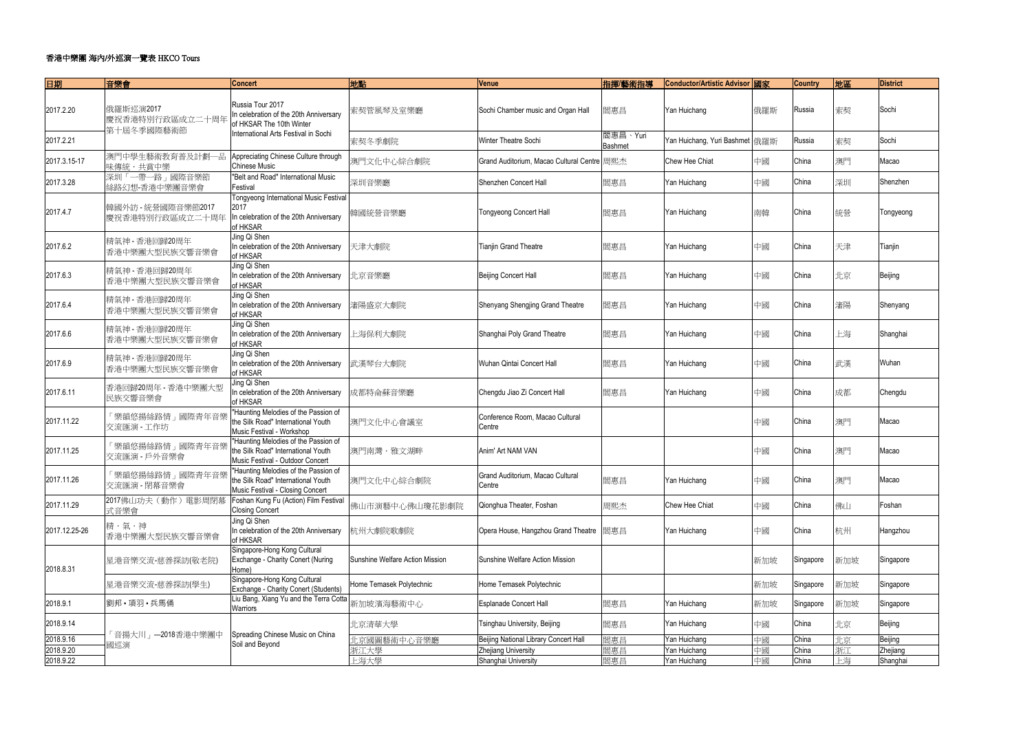| 日期            | 音樂會                                   | <b>Concert</b>                                                                                                 | 地點                              | Venue                                       | 指揮/藝術指導                    | Conductor/Artistic Advisor 國家  |     | <b>Country</b> | 地區  | <b>District</b> |
|---------------|---------------------------------------|----------------------------------------------------------------------------------------------------------------|---------------------------------|---------------------------------------------|----------------------------|--------------------------------|-----|----------------|-----|-----------------|
| 2017.2.20     | 俄羅斯巡演2017<br>慶祝香港特別行政區成立二十周年          | Russia Tour 2017<br>In celebration of the 20th Anniversary<br>of HKSAR The 10th Winter                         | 索契管風琴及室樂廳                       | Sochi Chamber music and Organ Hall          | 閻惠昌                        | Yan Huichang                   | 俄羅斯 | Russia         | 索契  | Sochi           |
| 2017.2.21     | 第十屆冬季國際藝術節                            | International Arts Festival in Sochi                                                                           | 索契冬季劇院                          | Winter Theatre Sochi                        | 閻惠昌、Yuri<br><b>Bashmet</b> | Yan Huichang, Yuri Bashmet 俄羅斯 |     | Russia         | 索契  | Sochi           |
| 2017.3.15-17  | 澳門中學生藝術教育普及計劃一品<br>味傳統・共賞中樂           | Appreciating Chinese Culture through<br><b>Chinese Music</b>                                                   | 澳門文化中心綜合劇院                      | Grand Auditorium, Macao Cultural Centre 周熙杰 |                            | Chew Hee Chiat                 | 中國  | China          | 澳門  | Macao           |
| 2017.3.28     | 深圳「一帶一路」國際音樂節<br>絲路幻想-香港中樂團音樂會        | "Belt and Road" International Music<br>Festival                                                                | 深圳音樂廳                           | Shenzhen Concert Hall                       | 閻惠昌                        | Yan Huichang                   | 中國  | China          | 深圳  | Shenzhen        |
| 2017.4.7      | 韓國外訪 - 統營國際音樂節2017<br>慶祝香港特別行政區成立二十周年 | <b>Tongyeong International Music Festival</b><br>2017<br>In celebration of the 20th Anniversary<br>of HKSAR    | 韓國統營音樂廳                         | <b>Tongyeong Concert Hall</b>               | 閻惠昌                        | Yan Huichang                   | 南韓  | China          | 統營  | Tongyeong       |
| 2017.6.2      | 精氣神 - 香港回歸20周年<br>香港中樂團大型民族交響音樂會      | Jing Qi Shen<br>In celebration of the 20th Anniversary<br>of HKSAR                                             | 天津大劇院                           | <b>Tianjin Grand Theatre</b>                | 閻惠昌                        | Yan Huichang                   | 中國  | China          | 天津  | Tianjin         |
| 2017.6.3      | 精氣神 - 香港回歸20周年<br>香港中樂團大型民族交響音樂會      | Jing Qi Shen<br>In celebration of the 20th Anniversary<br>of HKSAR                                             | 北京音樂廳                           | Beijing Concert Hall                        | 閻惠昌                        | Yan Huichang                   | 中國  | China          | 北京  | Beijing         |
| 2017.6.4      | 精氣神 - 香港回歸20周年<br>香港中樂團大型民族交響音樂會      | Jing Qi Shen<br>In celebration of the 20th Anniversary<br>of HKSAR                                             | 瀋陽盛京大劇院                         | Shenyang Shengjing Grand Theatre            | 閻惠昌                        | Yan Huichang                   | 中國  | China          | 瀋陽  | Shenyang        |
| 2017.6.6      | 精氣神 - 香港回歸20周年<br>香港中樂團大型民族交響音樂會      | Jing Qi Shen<br>In celebration of the 20th Anniversary<br>of HKSAR                                             | 上海保利大劇院                         | Shanghai Poly Grand Theatre                 | 閻惠昌                        | Yan Huichang                   | 中國  | China          | 上海  | Shanghai        |
| 2017.6.9      | 精氣神 - 香港回歸20周年<br>香港中樂團大型民族交響音樂會      | Jing Qi Shen<br>In celebration of the 20th Anniversary<br>of HKSAR                                             | 武漢琴台大劇院                         | Wuhan Qintai Concert Hall                   | 閻惠昌                        | Yan Huichang                   | 中國  | China          | 武漢  | Wuhan           |
| 2017.6.11     | 香港回歸20周年 - 香港中樂團大型<br>民族交響音樂會         | Jing Qi Shen<br>In celebration of the 20th Anniversary<br>of HKSAR                                             | 成都特侖蘇音樂廳                        | Chengdu Jiao Zi Concert Hall                | 閻惠昌                        | Yan Huichang                   | 中國  | China          | 成都  | Chengdu         |
| 2017.11.22    | 「樂韻悠揚絲路情」國際青年音樂<br>交流匯演 - 工作坊         | "Haunting Melodies of the Passion of<br>the Silk Road" International Youth<br>Music Festival - Workshop        | 澳門文化中心會議室                       | Conference Room, Macao Cultural<br>Centre   |                            |                                | 中國  | China          | 澳門  | Macao           |
| 2017.11.25    | 「樂韻悠揚絲路情」國際青年音樂<br>交流匯演 - 戶外音樂會       | "Haunting Melodies of the Passion of<br>the Silk Road" International Youth<br>Music Festival - Outdoor Concert | 澳門南灣・雅文湖畔                       | Anim' Art NAM VAN                           |                            |                                | 中國  | China          | 澳門  | Macao           |
| 2017.11.26    | 「樂韻悠揚絲路情」國際青年音樂<br>交流匯演 - 閉幕音樂會       | "Haunting Melodies of the Passion of<br>the Silk Road" International Youth<br>Music Festival - Closing Concert | 澳門文化中心綜合劇院                      | Grand Auditorium, Macao Cultural<br>Centre  | 閻惠昌                        | Yan Huichang                   | 中國  | China          | 澳門  | Macao           |
| 2017.11.29    | 2017佛山功夫 (動作) 電影周閉幕<br>式音樂會           | Foshan Kung Fu (Action) Film Festival<br><b>Closing Concert</b>                                                | 佛山市演藝中心佛山瓊花影劇院                  | Qionghua Theater, Foshan                    | 周熙杰                        | Chew Hee Chiat                 | 中國  | China          | 佛山  | Foshan          |
| 2017.12.25-26 | 精・氣・神<br>香港中樂團大型民族交響音樂會               | Jing Qi Shen<br>In celebration of the 20th Anniversary<br>of HKSAR                                             | 杭州大劇院歌劇院                        | Opera House, Hangzhou Grand Theatre         | 閻惠昌                        | Yan Huichang                   | 中國  | China          | 杭州  | Hangzhou        |
| 2018.8.31     | 星港音樂交流-慈善探訪(敬老院)                      | Singapore-Hong Kong Cultural<br>Exchange - Charity Conert (Nuring<br>Home)                                     | Sunshine Welfare Action Mission | Sunshine Welfare Action Mission             |                            |                                | 新加坡 | Singapore      | 新加坡 | Singapore       |
|               | 星港音樂交流-慈善探訪(學生)                       | Singapore-Hong Kong Cultural<br>Exchange - Charity Conert (Students)                                           | Home Temasek Polytechnic        | Home Temasek Polytechnic                    |                            |                                | 新加坡 | Singapore      | 新加坡 | Singapore       |
| 2018.9.1      | 劉邦·項羽·兵馬俑                             | Liu Bang, Xiang Yu and the Terra Cotta<br>Warriors                                                             | 新加坡濱海藝術中心                       | <b>Esplanade Concert Hall</b>               | 閻惠昌                        | Yan Huichang                   | 新加坡 | Singapore      | 新加坡 | Singapore       |
| 2018.9.14     | 「音揚大川」—2018香港中樂團中                     | Spreading Chinese Music on China                                                                               | 北京清華大學                          | Tsinghau University, Beijing                | 閻惠昌                        | Yan Huichang                   | 中國  | China          | 北京  | Beijing         |
| 2018.9.16     | 國巡演                                   | Soil and Beyond                                                                                                | 北京國圖藝術中心音樂廳                     | Beijing National Library Concert Hall       | 閻惠昌                        | Yan Huichang                   | 中國  | China          | 北京  | Beijing         |
| 2018.9.20     |                                       |                                                                                                                | 浙江大學                            | Zhejiang University                         | 閻惠昌                        | Yan Huichang                   | 中國  | China          | 浙江  | Zhejiang        |
| 2018.9.22     |                                       |                                                                                                                | 上海大學                            | Shanghai University                         | 閻惠昌                        | Yan Huichang                   | 中國  | China          | 上海  | Shanghai        |